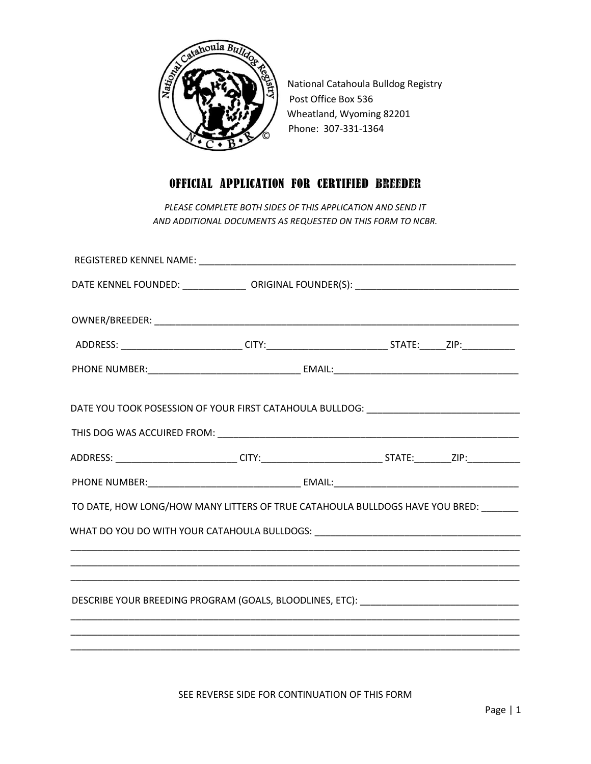

National Catahoula Bulldog Registry Post Office Box 536 Wheatland, Wyoming 82201 Phone: 307-331-1364

## OFFICIAL APPLICATION FOR CERTIFIED Breeder

*PLEASE COMPLETE BOTH SIDES OF THIS APPLICATION AND SEND IT AND ADDITIONAL DOCUMENTS AS REQUESTED ON THIS FORM TO NCBR.*

| DATE KENNEL FOUNDED: ________________ ORIGINAL FOUNDER(S): ______________________                         |  |  |  |  |  |
|-----------------------------------------------------------------------------------------------------------|--|--|--|--|--|
|                                                                                                           |  |  |  |  |  |
| ADDRESS: ___________________________CITY:_______________________________STATE:______ZIP:____________      |  |  |  |  |  |
|                                                                                                           |  |  |  |  |  |
| DATE YOU TOOK POSESSION OF YOUR FIRST CATAHOULA BULLDOG: ________________________                         |  |  |  |  |  |
| ADDRESS: ___________________________CITY:______________________________STATE:__________ZIP:______________ |  |  |  |  |  |
|                                                                                                           |  |  |  |  |  |
| TO DATE, HOW LONG/HOW MANY LITTERS OF TRUE CATAHOULA BULLDOGS HAVE YOU BRED:                              |  |  |  |  |  |
| WHAT DO YOU DO WITH YOUR CATAHOULA BULLDOGS: ___________________________________                          |  |  |  |  |  |
|                                                                                                           |  |  |  |  |  |
|                                                                                                           |  |  |  |  |  |
| DESCRIBE YOUR BREEDING PROGRAM (GOALS, BLOODLINES, ETC): ________________________                         |  |  |  |  |  |
|                                                                                                           |  |  |  |  |  |
|                                                                                                           |  |  |  |  |  |

SEE REVERSE SIDE FOR CONTINUATION OF THIS FORM